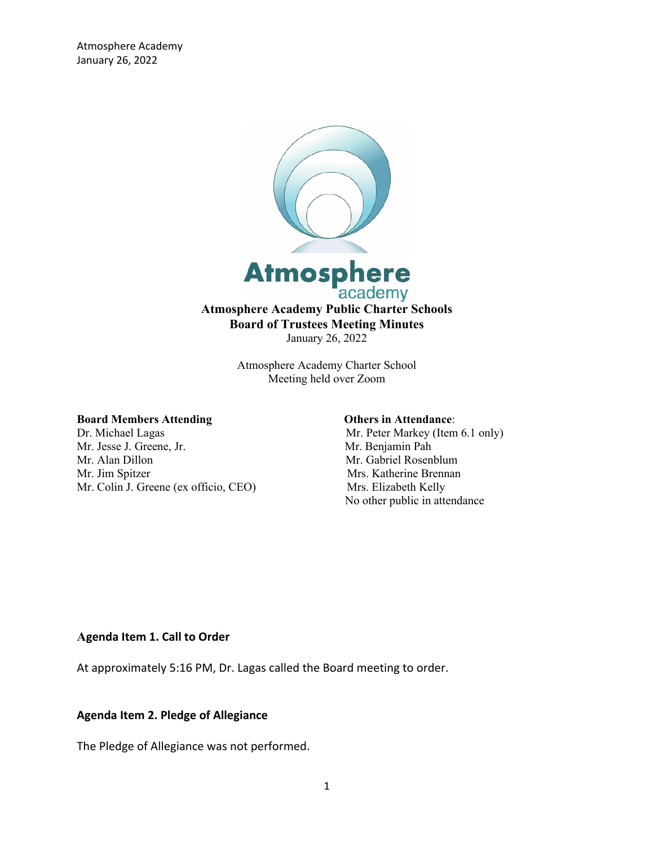

Atmosphere Academy Charter School Meeting held over Zoom

#### **Board Members Attending Community Community Community Community Community Community Community Community Community Community Community Community Community Community Community Community Community Community Community Communi**

Dr. Michael Lagas Mr. Peter Markey (Item 6.1 only) Mr. Jesse J. Greene, Jr. Mr. Benjamin Pah Mr. Alan Dillon Mr. Gabriel Rosenblum Mr. Jim Spitzer Mrs. Katherine Brennan Mr. Colin J. Greene (ex officio, CEO) Mrs. Elizabeth Kelly

No other public in attendance

## **Agenda Item 1. Call to Order**

At approximately 5:16 PM, Dr. Lagas called the Board meeting to order.

#### **Agenda Item 2. Pledge of Allegiance**

The Pledge of Allegiance was not performed.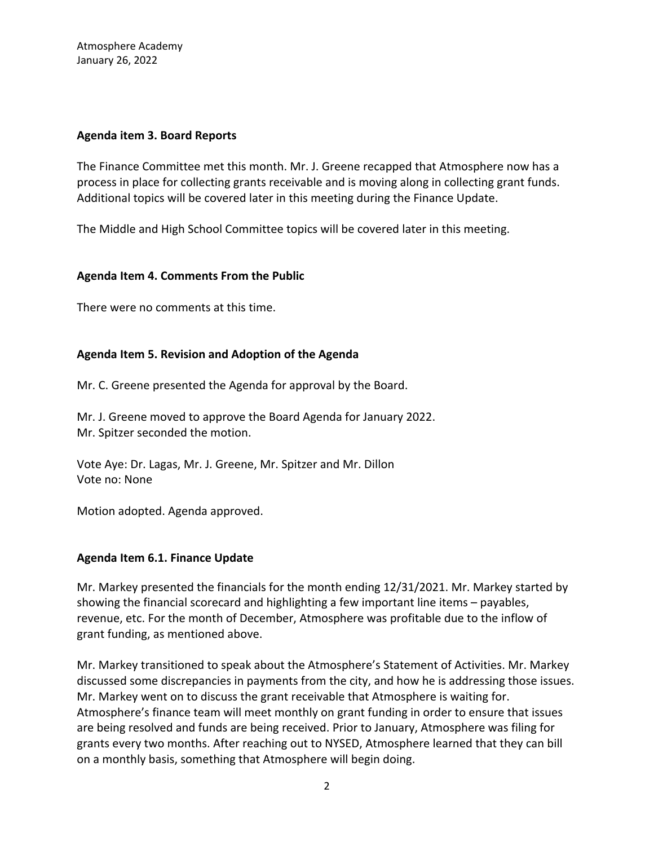## **Agenda item 3. Board Reports**

The Finance Committee met this month. Mr. J. Greene recapped that Atmosphere now has a process in place for collecting grants receivable and is moving along in collecting grant funds. Additional topics will be covered later in this meeting during the Finance Update.

The Middle and High School Committee topics will be covered later in this meeting.

# **Agenda Item 4. Comments From the Public**

There were no comments at this time.

# **Agenda Item 5. Revision and Adoption of the Agenda**

Mr. C. Greene presented the Agenda for approval by the Board.

Mr. J. Greene moved to approve the Board Agenda for January 2022. Mr. Spitzer seconded the motion.

Vote Aye: Dr. Lagas, Mr. J. Greene, Mr. Spitzer and Mr. Dillon Vote no: None

Motion adopted. Agenda approved.

# **Agenda Item 6.1. Finance Update**

Mr. Markey presented the financials for the month ending 12/31/2021. Mr. Markey started by showing the financial scorecard and highlighting a few important line items – payables, revenue, etc. For the month of December, Atmosphere was profitable due to the inflow of grant funding, as mentioned above.

Mr. Markey transitioned to speak about the Atmosphere's Statement of Activities. Mr. Markey discussed some discrepancies in payments from the city, and how he is addressing those issues. Mr. Markey went on to discuss the grant receivable that Atmosphere is waiting for. Atmosphere's finance team will meet monthly on grant funding in order to ensure that issues are being resolved and funds are being received. Prior to January, Atmosphere was filing for grants every two months. After reaching out to NYSED, Atmosphere learned that they can bill on a monthly basis, something that Atmosphere will begin doing.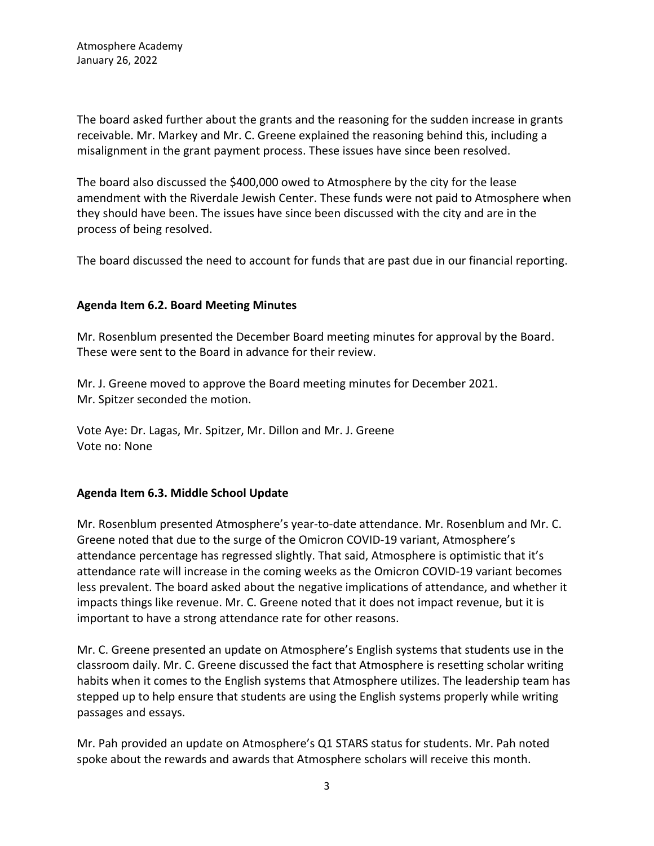The board asked further about the grants and the reasoning for the sudden increase in grants receivable. Mr. Markey and Mr. C. Greene explained the reasoning behind this, including a misalignment in the grant payment process. These issues have since been resolved.

The board also discussed the \$400,000 owed to Atmosphere by the city for the lease amendment with the Riverdale Jewish Center. These funds were not paid to Atmosphere when they should have been. The issues have since been discussed with the city and are in the process of being resolved.

The board discussed the need to account for funds that are past due in our financial reporting.

# **Agenda Item 6.2. Board Meeting Minutes**

Mr. Rosenblum presented the December Board meeting minutes for approval by the Board. These were sent to the Board in advance for their review.

Mr. J. Greene moved to approve the Board meeting minutes for December 2021. Mr. Spitzer seconded the motion.

Vote Aye: Dr. Lagas, Mr. Spitzer, Mr. Dillon and Mr. J. Greene Vote no: None

# **Agenda Item 6.3. Middle School Update**

Mr. Rosenblum presented Atmosphere's year-to-date attendance. Mr. Rosenblum and Mr. C. Greene noted that due to the surge of the Omicron COVID-19 variant, Atmosphere's attendance percentage has regressed slightly. That said, Atmosphere is optimistic that it's attendance rate will increase in the coming weeks as the Omicron COVID-19 variant becomes less prevalent. The board asked about the negative implications of attendance, and whether it impacts things like revenue. Mr. C. Greene noted that it does not impact revenue, but it is important to have a strong attendance rate for other reasons.

Mr. C. Greene presented an update on Atmosphere's English systems that students use in the classroom daily. Mr. C. Greene discussed the fact that Atmosphere is resetting scholar writing habits when it comes to the English systems that Atmosphere utilizes. The leadership team has stepped up to help ensure that students are using the English systems properly while writing passages and essays.

Mr. Pah provided an update on Atmosphere's Q1 STARS status for students. Mr. Pah noted spoke about the rewards and awards that Atmosphere scholars will receive this month.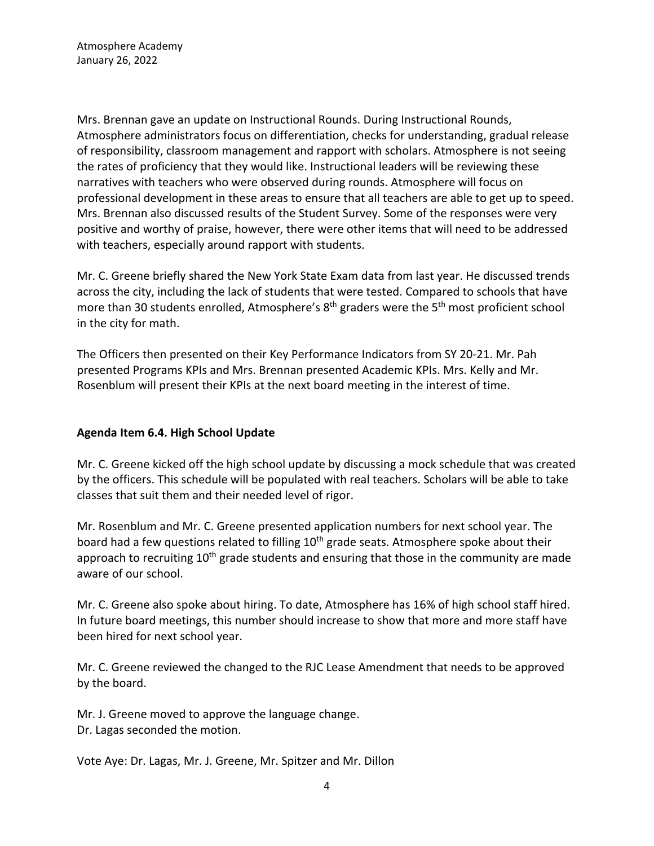Mrs. Brennan gave an update on Instructional Rounds. During Instructional Rounds, Atmosphere administrators focus on differentiation, checks for understanding, gradual release of responsibility, classroom management and rapport with scholars. Atmosphere is not seeing the rates of proficiency that they would like. Instructional leaders will be reviewing these narratives with teachers who were observed during rounds. Atmosphere will focus on professional development in these areas to ensure that all teachers are able to get up to speed. Mrs. Brennan also discussed results of the Student Survey. Some of the responses were very positive and worthy of praise, however, there were other items that will need to be addressed with teachers, especially around rapport with students.

Mr. C. Greene briefly shared the New York State Exam data from last year. He discussed trends across the city, including the lack of students that were tested. Compared to schools that have more than 30 students enrolled, Atmosphere's  $8<sup>th</sup>$  graders were the  $5<sup>th</sup>$  most proficient school in the city for math.

The Officers then presented on their Key Performance Indicators from SY 20-21. Mr. Pah presented Programs KPIs and Mrs. Brennan presented Academic KPIs. Mrs. Kelly and Mr. Rosenblum will present their KPIs at the next board meeting in the interest of time.

# **Agenda Item 6.4. High School Update**

Mr. C. Greene kicked off the high school update by discussing a mock schedule that was created by the officers. This schedule will be populated with real teachers. Scholars will be able to take classes that suit them and their needed level of rigor.

Mr. Rosenblum and Mr. C. Greene presented application numbers for next school year. The board had a few questions related to filling 10<sup>th</sup> grade seats. Atmosphere spoke about their approach to recruiting  $10<sup>th</sup>$  grade students and ensuring that those in the community are made aware of our school.

Mr. C. Greene also spoke about hiring. To date, Atmosphere has 16% of high school staff hired. In future board meetings, this number should increase to show that more and more staff have been hired for next school year.

Mr. C. Greene reviewed the changed to the RJC Lease Amendment that needs to be approved by the board.

Mr. J. Greene moved to approve the language change. Dr. Lagas seconded the motion.

Vote Aye: Dr. Lagas, Mr. J. Greene, Mr. Spitzer and Mr. Dillon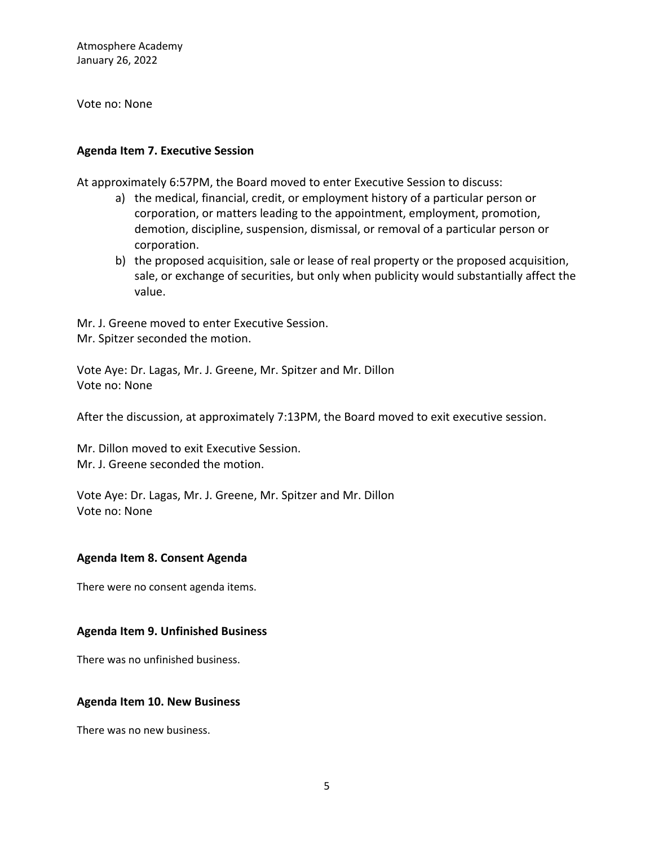Vote no: None

## **Agenda Item 7. Executive Session**

At approximately 6:57PM, the Board moved to enter Executive Session to discuss:

- a) the medical, financial, credit, or employment history of a particular person or corporation, or matters leading to the appointment, employment, promotion, demotion, discipline, suspension, dismissal, or removal of a particular person or corporation.
- b) the proposed acquisition, sale or lease of real property or the proposed acquisition, sale, or exchange of securities, but only when publicity would substantially affect the value.

Mr. J. Greene moved to enter Executive Session. Mr. Spitzer seconded the motion.

Vote Aye: Dr. Lagas, Mr. J. Greene, Mr. Spitzer and Mr. Dillon Vote no: None

After the discussion, at approximately 7:13PM, the Board moved to exit executive session.

Mr. Dillon moved to exit Executive Session. Mr. J. Greene seconded the motion.

Vote Aye: Dr. Lagas, Mr. J. Greene, Mr. Spitzer and Mr. Dillon Vote no: None

# **Agenda Item 8. Consent Agenda**

There were no consent agenda items.

## **Agenda Item 9. Unfinished Business**

There was no unfinished business.

## **Agenda Item 10. New Business**

There was no new business.